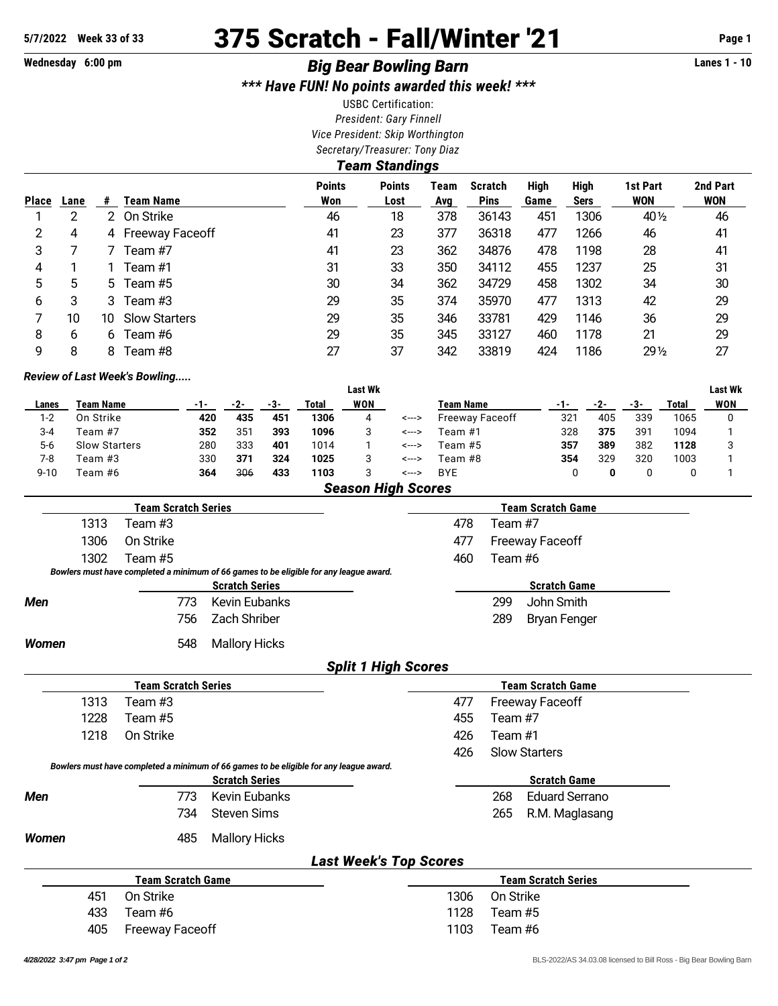# **5/7/2022 Week 33 of 33** 375 Scratch - Fall/Winter '21 **Page 1**

# **Wednesday 6:00 pm** *Big Bear Bowling Barn* **Lanes 1 - 10**

*\*\*\* Have FUN! No points awarded this week! \*\*\**

USBC Certification: *President: Gary Finnell Vice President: Skip Worthington Secretary/Treasurer: Tony Diaz*

*Team Standings* **Points Points Team Scratch High High 1st Part 2nd Part Place Lane # Team Name Won Lost Avg Pins Game Sers WON WON** 2 2 On Strike 46 18 378 36143 451 1306 40½ 46 4 4 Freeway Faceoff 41 23 377 36318 477 1266 46 41 7 7 Team #7 41 23 362 34876 478 1198 28 41 1 1 Team #1 31 33 350 34112 455 1237 25 31 5 5 Team #5 30 34 362 34729 458 1302 34 30 3 3 Team #3 29 35 374 35970 477 1313 42 29 10 10 Slow Starters 29 35 346 33781 429 1146 36 29 6 6 Team #6 29 35 345 33127 460 1178 21 29 8 8 Team #8 27 37 342 33819 424 1186 29½ 27

### *Review of Last Week's Bowling.....*

|          |                      |     |                 |     |       | Last Wk |       |                  |     |     |     |       | <b>Last Wk</b> |
|----------|----------------------|-----|-----------------|-----|-------|---------|-------|------------------|-----|-----|-----|-------|----------------|
| Lanes    | Team Name            |     | -2-             | -3- | Total | WON     |       | <b>Team Name</b> | -1- |     | -3- | Total | <b>WON</b>     |
| 1-2      | On Strike            | 420 | 435             | 451 | 1306  | 4       | <---> | Freeway Faceoff  | 321 | 405 | 339 | 1065  |                |
| $3 - 4$  | Team #7              | 352 | 35 <sup>2</sup> | 393 | 1096  |         | <---> | Team #1          | 328 | 375 | 391 | 1094  |                |
| 5-6      | <b>Slow Starters</b> | 280 | 333             | 401 | 1014  |         | <---> | Team #5          | 357 | 389 | 382 | 1128  |                |
| 7-8      | Team #3              | 330 | 371             | 324 | 1025  |         | <---> | Team #8          | 354 | 329 | 320 | 1003  |                |
| $9 - 10$ | Team #6              | 364 | 306             | 433 | 1103  |         | <---> | <b>BYE</b>       |     |     |     |       |                |
|          |                      |     |                 |     |       |         |       |                  |     |     |     |       |                |

### *Season High Scores*

|              | <b>Team Scratch Series</b> |                                                                                        |                            | <b>Team Scratch Game</b> |         |                        |  |  |  |
|--------------|----------------------------|----------------------------------------------------------------------------------------|----------------------------|--------------------------|---------|------------------------|--|--|--|
| 1313         | Team #3                    |                                                                                        |                            | 478                      | Team #7 |                        |  |  |  |
| 1306         | On Strike                  |                                                                                        |                            | 477                      |         | <b>Freeway Faceoff</b> |  |  |  |
| 1302         | Team #5                    |                                                                                        |                            | 460                      | Team #6 |                        |  |  |  |
|              |                            | Bowlers must have completed a minimum of 66 games to be eligible for any league award. |                            |                          |         |                        |  |  |  |
|              |                            | <b>Scratch Series</b>                                                                  |                            |                          |         | <b>Scratch Game</b>    |  |  |  |
| <b>Men</b>   | 773                        | Kevin Eubanks                                                                          |                            |                          | 299     | John Smith             |  |  |  |
|              | 756                        | Zach Shriber                                                                           |                            |                          | 289     | <b>Bryan Fenger</b>    |  |  |  |
| <b>Women</b> | 548                        | <b>Mallory Hicks</b>                                                                   |                            |                          |         |                        |  |  |  |
|              |                            |                                                                                        | <b>Calit 1 High Coorps</b> |                          |         |                        |  |  |  |

### *Split 1 High Scores*

|                                                                                        | <b>Team Scratch Series</b> |                       |                               |      | <b>Team Scratch Game</b>     |  |  |  |  |  |  |  |
|----------------------------------------------------------------------------------------|----------------------------|-----------------------|-------------------------------|------|------------------------------|--|--|--|--|--|--|--|
| 1313                                                                                   | Team #3                    |                       |                               | 477  | <b>Freeway Faceoff</b>       |  |  |  |  |  |  |  |
| 1228                                                                                   | Team #5                    |                       |                               | 455  | Team #7                      |  |  |  |  |  |  |  |
| 1218                                                                                   | On Strike                  |                       |                               | 426  | Team #1                      |  |  |  |  |  |  |  |
|                                                                                        |                            |                       |                               | 426  | <b>Slow Starters</b>         |  |  |  |  |  |  |  |
| Bowlers must have completed a minimum of 66 games to be eligible for any league award. |                            |                       |                               |      |                              |  |  |  |  |  |  |  |
|                                                                                        |                            | <b>Scratch Series</b> |                               |      | <b>Scratch Game</b>          |  |  |  |  |  |  |  |
| <b>Men</b>                                                                             | 773                        | Kevin Eubanks         |                               |      | 268<br><b>Eduard Serrano</b> |  |  |  |  |  |  |  |
|                                                                                        | 734                        | Steven Sims           |                               |      | 265<br>R.M. Maglasang        |  |  |  |  |  |  |  |
| Women                                                                                  | 485                        | <b>Mallory Hicks</b>  |                               |      |                              |  |  |  |  |  |  |  |
|                                                                                        |                            |                       | <b>Last Week's Top Scores</b> |      |                              |  |  |  |  |  |  |  |
|                                                                                        | <b>Team Scratch Game</b>   |                       |                               |      | <b>Team Scratch Series</b>   |  |  |  |  |  |  |  |
| 451                                                                                    | On Strike                  |                       |                               | 1306 | On Strike                    |  |  |  |  |  |  |  |

433 Team #6 1128 Team #5

|  | 405 Freeway Faceoff |  | 1103 Team #6 |
|--|---------------------|--|--------------|
|--|---------------------|--|--------------|